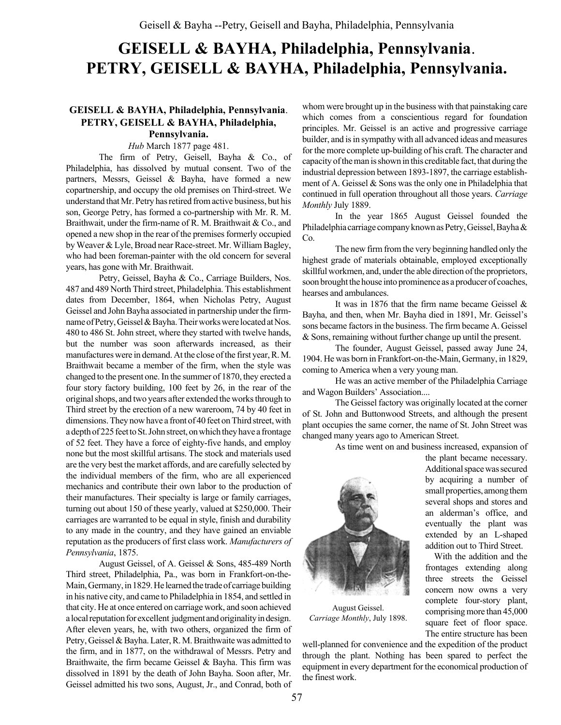# GEISELL & BAYHA, Philadelphia, Pennsylvania. PETRY, GEISELL & BAYHA, Philadelphia, Pennsylvania.

# GEISELL & BAYHA, Philadelphia, Pennsylvania. PETRY, GEISELL & BAYHA, Philadelphia,

# Pennsylvania.

Hub March 1877 page 481.

The firm of Petry, Geisell, Bayha & Co., of Philadelphia, has dissolved by mutual consent. Two of the partners, Messrs, Geissel & Bayha, have formed a new copartnership, and occupy the old premises on Third-street. We understand that Mr. Petry has retired from active business, but his son, George Petry, has formed a co-partnership with Mr. R. M. Braithwait, under the firm-name of R. M. Braithwait & Co., and opened a new shop in the rear of the premises formerly occupied by Weaver & Lyle, Broad near Race-street. Mr. William Bagley, who had been foreman-painter with the old concern for several years, has gone with Mr. Braithwait.

Petry, Geissel, Bayha & Co., Carriage Builders, Nos. 487 and 489 North Third street, Philadelphia. This establishment dates from December, 1864, when Nicholas Petry, August Geissel and John Bayha associated in partnership under the firmname of Petry, Geissel & Bayha. Their works were located at Nos. 480 to 486 St. John street, where they started with twelve hands, but the number was soon afterwards increased, as their manufactures were in demand. At the close of the first year, R. M. Braithwait became a member of the firm, when the style was changed to the present one. In the summer of 1870, they erected a four story factory building, 100 feet by 26, in the rear of the original shops, and two years after extended the works through to Third street by the erection of a new wareroom, 74 by 40 feet in dimensions. They now have a front of 40 feet on Third street, with a depth of 225 feet to St. John street, on which they have a frontage of 52 feet. They have a force of eighty-five hands, and employ none but the most skillful artisans. The stock and materials used are the very best the market affords, and are carefully selected by the individual members of the firm, who are all experienced mechanics and contribute their own labor to the production of their manufactures. Their specialty is large or family carriages, turning out about 150 of these yearly, valued at \$250,000. Their carriages are warranted to be equal in style, finish and durability to any made in the country, and they have gained an enviable reputation as the producers of first class work. Manufacturers of Pennsylvania, 1875.

August Geissel, of A. Geissel & Sons, 485-489 North Third street, Philadelphia, Pa., was born in Frankfort-on-the-Main, Germany, in 1829. He learned the trade of carriage building in his native city, and came to Philadelphia in 1854, and settled in that city. He at once entered on carriage work, and soon achieved a local reputation for excellent judgment and originality in design. After eleven years, he, with two others, organized the firm of Petry, Geissel & Bayha. Later, R. M. Braithwaite was admitted to the firm, and in 1877, on the withdrawal of Messrs. Petry and Braithwaite, the firm became Geissel & Bayha. This firm was dissolved in 1891 by the death of John Bayha. Soon after, Mr. Geissel admitted his two sons, August, Jr., and Conrad, both of whom were brought up in the business with that painstaking care which comes from a conscientious regard for foundation principles. Mr. Geissel is an active and progressive carriage builder, and is in sympathy with all advanced ideas and measures for the more complete up-building of his craft. The character and capacity of the man is shown in this creditable fact, that during the industrial depression between 1893-1897, the carriage establishment of A. Geissel & Sons was the only one in Philadelphia that continued in full operation throughout all those years. Carriage Monthly July 1889.

In the year 1865 August Geissel founded the Philadelphia carriage company known as Petry, Geissel, Bayha & Co.

The new firm from the very beginning handled only the highest grade of materials obtainable, employed exceptionally skillful workmen, and, under the able direction of the proprietors, soon brought the house into prominence as a producer of coaches, hearses and ambulances.

It was in 1876 that the firm name became Geissel & Bayha, and then, when Mr. Bayha died in 1891, Mr. Geissel's sons became factors in the business. The firm became A. Geissel & Sons, remaining without further change up until the present.

The founder, August Geissel, passed away June 24, 1904. He was born in Frankfort-on-the-Main, Germany, in 1829, coming to America when a very young man.

He was an active member of the Philadelphia Carriage and Wagon Builders' Association....

The Geissel factory was originally located at the corner of St. John and Buttonwood Streets, and although the present plant occupies the same corner, the name of St. John Street was changed many years ago to American Street.

As time went on and business increased, expansion of



August Geissel. Carriage Monthly, July 1898.

the plant became necessary. Additional space was secured by acquiring a number of small properties, among them several shops and stores and an alderman's office, and eventually the plant was extended by an L-shaped addition out to Third Street.

With the addition and the frontages extending along three streets the Geissel concern now owns a very complete four-story plant, comprising more than 45,000 square feet of floor space. The entire structure has been

well-planned for convenience and the expedition of the product through the plant. Nothing has been spared to perfect the equipment in every department for the economical production of the finest work.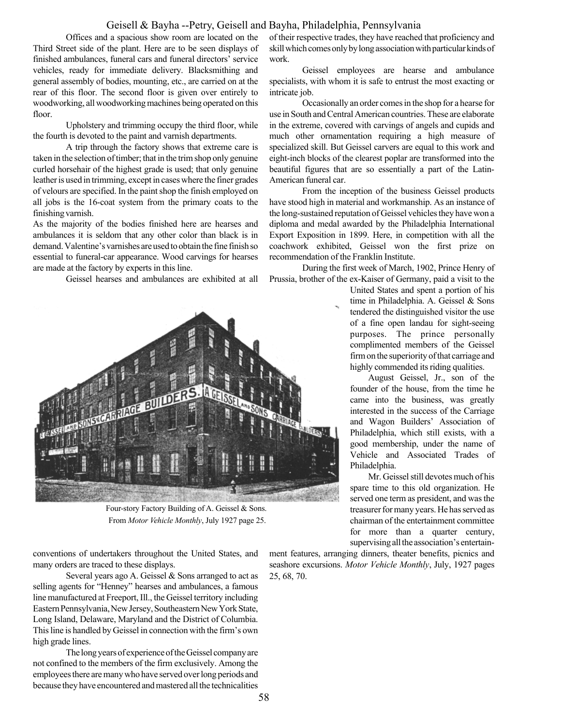#### Geisell & Bayha --Petry, Geisell and Bayha, Philadelphia, Pennsylvania

Offices and a spacious show room are located on the Third Street side of the plant. Here are to be seen displays of finished ambulances, funeral cars and funeral directors' service vehicles, ready for immediate delivery. Blacksmithing and general assembly of bodies, mounting, etc., are carried on at the rear of this floor. The second floor is given over entirely to woodworking, all woodworking machines being operated on this floor.

Upholstery and trimming occupy the third floor, while the fourth is devoted to the paint and varnish departments.

A trip through the factory shows that extreme care is taken in the selection of timber; that in the trim shop only genuine curled horsehair of the highest grade is used; that only genuine leather is used in trimming, except in cases where the finer grades of velours are specified. In the paint shop the finish employed on all jobs is the 16-coat system from the primary coats to the finishing varnish.

As the majority of the bodies finished here are hearses and ambulances it is seldom that any other color than black is in demand. Valentine's varnishes are used to obtain the fine finish so essential to funeral-car appearance. Wood carvings for hearses are made at the factory by experts in this line.

Geissel hearses and ambulances are exhibited at all



Four-story Factory Building of A. Geissel & Sons. From Motor Vehicle Monthly, July 1927 page 25.

conventions of undertakers throughout the United States, and many orders are traced to these displays.

Several years ago A. Geissel & Sons arranged to act as selling agents for "Henney" hearses and ambulances, a famous line manufactured at Freeport, Ill., the Geissel territory including Eastern Pennsylvania, New Jersey, Southeastern New York State, Long Island, Delaware, Maryland and the District of Columbia. This line is handled by Geissel in connection with the firm's own high grade lines.

The long years of experience of the Geissel company are not confined to the members of the firm exclusively. Among the employees there are many who have served over long periods and because they have encountered and mastered all the technicalities of their respective trades, they have reached that proficiency and skill which comes only by long association with particular kinds of work.

Geissel employees are hearse and ambulance specialists, with whom it is safe to entrust the most exacting or intricate job.

Occasionally an order comes in the shop for a hearse for use in South and Central American countries. These are elaborate in the extreme, covered with carvings of angels and cupids and much other ornamentation requiring a high measure of specialized skill. But Geissel carvers are equal to this work and eight-inch blocks of the clearest poplar are transformed into the beautiful figures that are so essentially a part of the Latin-American funeral car.

From the inception of the business Geissel products have stood high in material and workmanship. As an instance of the long-sustained reputation of Geissel vehicles they have won a diploma and medal awarded by the Philadelphia International Export Exposition in 1899. Here, in competition with all the coachwork exhibited, Geissel won the first prize on recommendation of the Franklin Institute.

During the first week of March, 1902, Prince Henry of Prussia, brother of the ex-Kaiser of Germany, paid a visit to the

> United States and spent a portion of his time in Philadelphia. A. Geissel & Sons tendered the distinguished visitor the use of a fine open landau for sight-seeing purposes. The prince personally complimented members of the Geissel firm on the superiority of that carriage and highly commended its riding qualities.

August Geissel, Jr., son of the founder of the house, from the time he came into the business, was greatly interested in the success of the Carriage and Wagon Builders' Association of Philadelphia, which still exists, with a good membership, under the name of Vehicle and Associated Trades of Philadelphia.

Mr. Geissel still devotes much of his spare time to this old organization. He served one term as president, and was the treasurer for many years. He has served as chairman of the entertainment committee for more than a quarter century, supervising all the association's entertain-

ment features, arranging dinners, theater benefits, picnics and seashore excursions. Motor Vehicle Monthly, July, 1927 pages 25, 68, 70.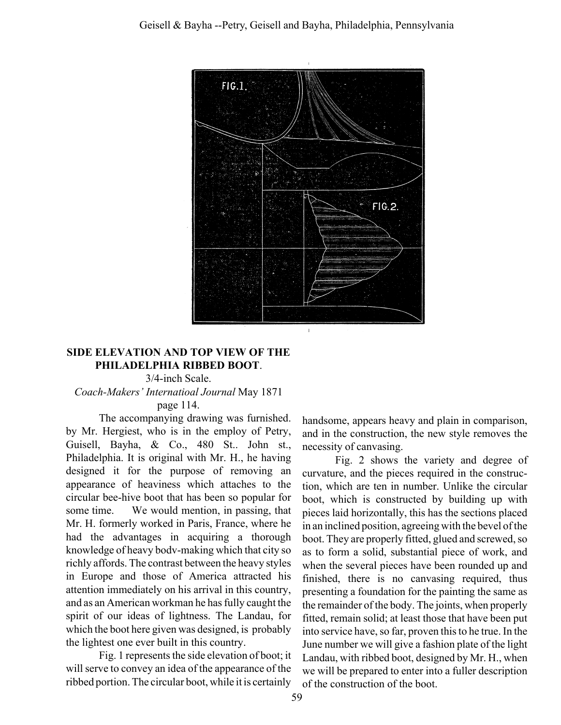

# SIDE ELEVATION AND TOP VIEW OF THE PHILADELPHIA RIBBED BOOT.

### 3/4-inch Scale. Coach-Makers' Internatioal Journal May 1871 page 114.

The accompanying drawing was furnished. by Mr. Hergiest, who is in the employ of Petry, Guisell, Bayha, & Co., 480 St.. John st., Philadelphia. It is original with Mr. H., he having designed it for the purpose of removing an appearance of heaviness which attaches to the circular bee-hive boot that has been so popular for some time. We would mention, in passing, that Mr. H. formerly worked in Paris, France, where he had the advantages in acquiring a thorough knowledge of heavy bodv-making which that city so richly affords. The contrast between the heavy styles in Europe and those of America attracted his attention immediately on his arrival in this country, and as an American workman he has fully caught the spirit of our ideas of lightness. The Landau, for which the boot here given was designed, is probably the lightest one ever built in this country.

Fig. 1 represents the side elevation of boot; it will serve to convey an idea of the appearance of the ribbed portion. The circular boot, while it is certainly handsome, appears heavy and plain in comparison, and in the construction, the new style removes the necessity of canvasing.

Fig. 2 shows the variety and degree of curvature, and the pieces required in the construction, which are ten in number. Unlike the circular boot, which is constructed by building up with pieces laid horizontally, this has the sections placed in an inclined position, agreeing with the bevel of the boot. They are properly fitted, glued and screwed, so as to form a solid, substantial piece of work, and when the several pieces have been rounded up and finished, there is no canvasing required, thus presenting a foundation for the painting the same as the remainder of the body. The joints, when properly fitted, remain solid; at least those that have been put into service have, so far, proven this to he true. In the June number we will give a fashion plate of the light Landau, with ribbed boot, designed by Mr. H., when we will be prepared to enter into a fuller description of the construction of the boot.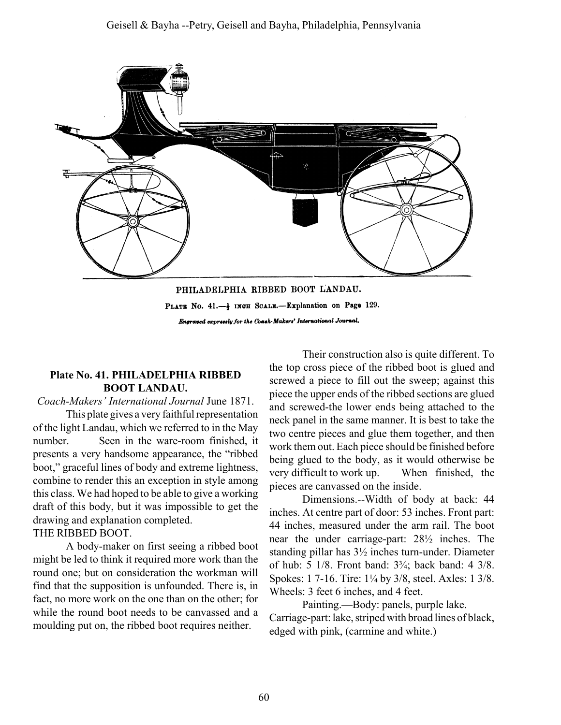

Engraved expressly for the Coash-Makers' International Journal.

# Plate No. 41. PHILADELPHIA RIBBED BOOT LANDAU.

#### Coach-Makers' International Journal June 1871.

This plate gives a very faithful representation of the light Landau, which we referred to in the May number. Seen in the ware-room finished, it presents a very handsome appearance, the "ribbed" boot," graceful lines of body and extreme lightness, combine to render this an exception in style among this class. We had hoped to be able to give a working draft of this body, but it was impossible to get the drawing and explanation completed.

# THE RIBBED BOOT.

A body-maker on first seeing a ribbed boot might be led to think it required more work than the round one; but on consideration the workman will find that the supposition is unfounded. There is, in fact, no more work on the one than on the other; for while the round boot needs to be canvassed and a moulding put on, the ribbed boot requires neither.

Their construction also is quite different. To the top cross piece of the ribbed boot is glued and screwed a piece to fill out the sweep; against this piece the upper ends of the ribbed sections are glued and screwed-the lower ends being attached to the neck panel in the same manner. It is best to take the two centre pieces and glue them together, and then work them out. Each piece should be finished before being glued to the body, as it would otherwise be very difficult to work up. When finished, the pieces are canvassed on the inside.

Dimensions.--Width of body at back: 44 inches. At centre part of door: 53 inches. Front part: 44 inches, measured under the arm rail. The boot near the under carriage-part: 28½ inches. The standing pillar has 3½ inches turn-under. Diameter of hub:  $5 \frac{1}{8}$ . Front band:  $3\frac{3}{4}$ ; back band:  $4 \frac{3}{8}$ . Spokes: 1 7-16. Tire: 1<sup>1</sup>/<sub>4</sub> by 3/8, steel. Axles: 1 3/8. Wheels: 3 feet 6 inches, and 4 feet.

Painting.—Body: panels, purple lake. Carriage-part: lake, striped with broad lines of black, edged with pink, (carmine and white.)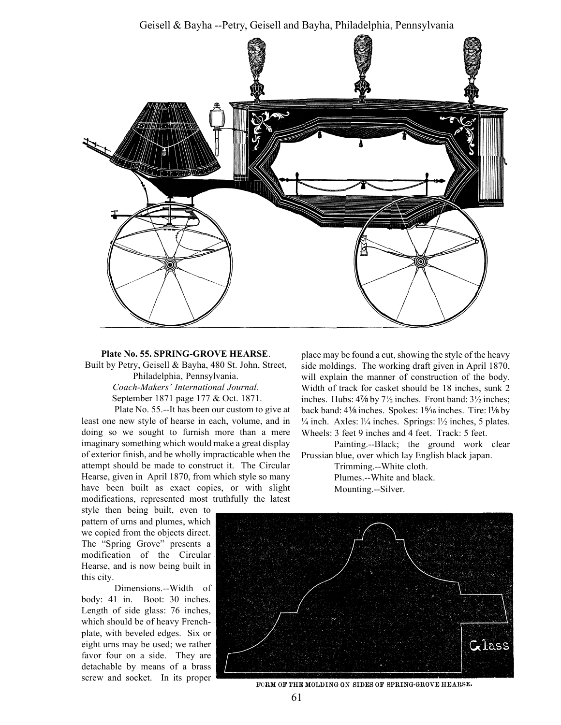Geisell & Bayha --Petry, Geisell and Bayha, Philadelphia, Pennsylvania



#### Plate No. 55. SPRING-GROVE HEARSE.

Built by Petry, Geisell & Bayha, 480 St. John, Street, Philadelphia, Pennsylvania.

> Coach-Makers' International Journal. September 1871 page 177 & Oct. 1871.

Plate No. 55.--It has been our custom to give at least one new style of hearse in each, volume, and in doing so we sought to furnish more than a mere imaginary something which would make a great display of exterior finish, and be wholly impracticable when the attempt should be made to construct it. The Circular Hearse, given in April 1870, from which style so many have been built as exact copies, or with slight modifications, represented most truthfully the latest

style then being built, even to pattern of urns and plumes, which we copied from the objects direct. The "Spring Grove" presents a modification of the Circular Hearse, and is now being built in this city.

Dimensions.--Width of body: 41 in. Boot: 30 inches. Length of side glass: 76 inches, which should be of heavy Frenchplate, with beveled edges. Six or eight urns may be used; we rather favor four on a side. They are detachable by means of a brass screw and socket. In its proper

place may be found a cut, showing the style of the heavy side moldings. The working draft given in April 1870, will explain the manner of construction of the body. Width of track for casket should be 18 inches, sunk 2 inches. Hubs:  $4\frac{7}{8}$  by  $7\frac{1}{2}$  inches. Front band:  $3\frac{1}{2}$  inches; back band: 41⁄<sup>8</sup> inches. Spokes: 1<sup>5</sup>⁄<sub>16</sub> inches. Tire: 1<sup>1</sup>⁄<sub>8</sub> by  $\frac{1}{4}$  inch. Axles:  $\frac{1}{4}$  inches. Springs:  $\frac{1}{2}$  inches, 5 plates. Wheels: 3 feet 9 inches and 4 feet. Track: 5 feet.

Painting.--Black; the ground work clear Prussian blue, over which lay English black japan.

> Trimming.--White cloth. Plumes.--White and black. Mounting.--Silver.



FORM OF THE MOLDING ON SIDES OF SPRING-GROVE HEARSE.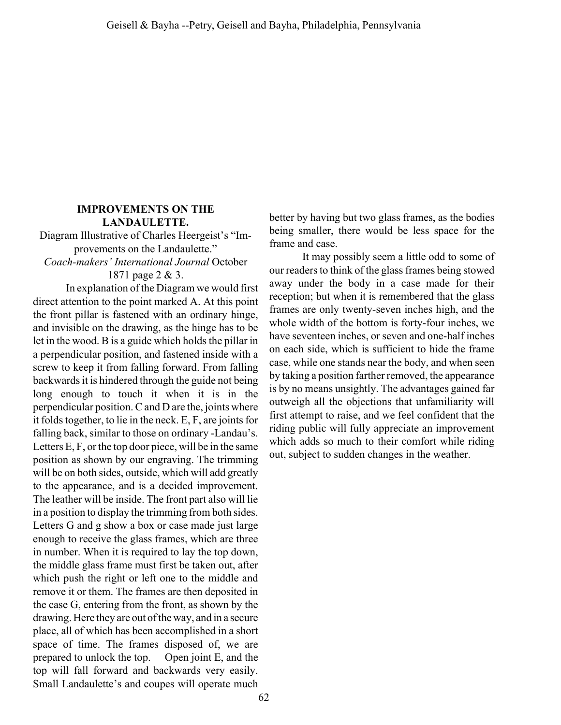### IMPROVEMENTS ON THE LANDAULETTE.

Diagram Illustrative of Charles Heergeist's "Improvements on the Landaulette." Coach-makers' International Journal October 1871 page 2 & 3.

In explanation of the Diagram we would first direct attention to the point marked A. At this point the front pillar is fastened with an ordinary hinge, and invisible on the drawing, as the hinge has to be let in the wood. B is a guide which holds the pillar in a perpendicular position, and fastened inside with a screw to keep it from falling forward. From falling backwards it is hindered through the guide not being long enough to touch it when it is in the perpendicular position. C and D are the, joints where it folds together, to lie in the neck. E, F, are joints for falling back, similar to those on ordinary -Landau's. Letters E, F, or the top door piece, will be in the same position as shown by our engraving. The trimming will be on both sides, outside, which will add greatly to the appearance, and is a decided improvement. The leather will be inside. The front part also will lie in a position to display the trimming from both sides. Letters G and g show a box or case made just large enough to receive the glass frames, which are three in number. When it is required to lay the top down, the middle glass frame must first be taken out, after which push the right or left one to the middle and remove it or them. The frames are then deposited in the case G, entering from the front, as shown by the drawing. Here they are out of the way, and in a secure place, all of which has been accomplished in a short space of time. The frames disposed of, we are prepared to unlock the top. Open joint E, and the top will fall forward and backwards very easily. Small Landaulette's and coupes will operate much

better by having but two glass frames, as the bodies being smaller, there would be less space for the frame and case.

It may possibly seem a little odd to some of our readers to think of the glass frames being stowed away under the body in a case made for their reception; but when it is remembered that the glass frames are only twenty-seven inches high, and the whole width of the bottom is forty-four inches, we have seventeen inches, or seven and one-half inches on each side, which is sufficient to hide the frame case, while one stands near the body, and when seen by taking a position farther removed, the appearance is by no means unsightly. The advantages gained far outweigh all the objections that unfamiliarity will first attempt to raise, and we feel confident that the riding public will fully appreciate an improvement which adds so much to their comfort while riding out, subject to sudden changes in the weather.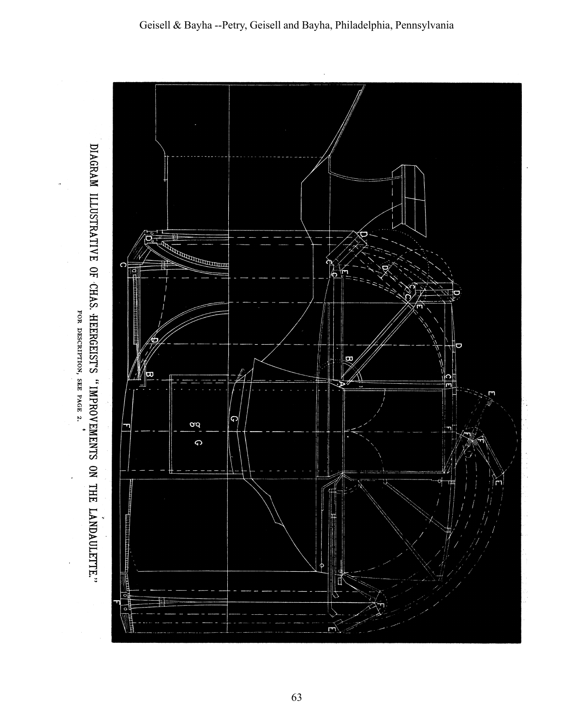

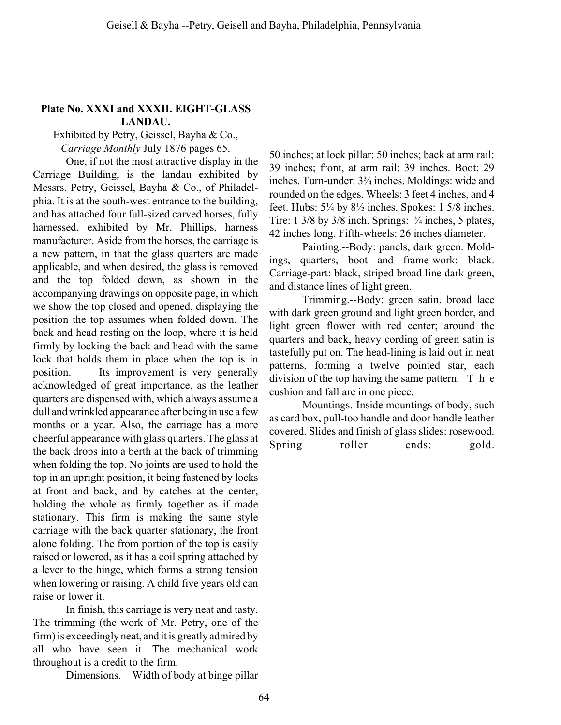### Plate No. XXXI and XXXII. EIGHT-GLASS LANDAU.

Exhibited by Petry, Geissel, Bayha & Co.,

Carriage Monthly July 1876 pages 65.

One, if not the most attractive display in the Carriage Building, is the landau exhibited by Messrs. Petry, Geissel, Bayha & Co., of Philadelphia. It is at the south-west entrance to the building, and has attached four full-sized carved horses, fully harnessed, exhibited by Mr. Phillips, harness manufacturer. Aside from the horses, the carriage is a new pattern, in that the glass quarters are made applicable, and when desired, the glass is removed and the top folded down, as shown in the accompanying drawings on opposite page, in which we show the top closed and opened, displaying the position the top assumes when folded down. The back and head resting on the loop, where it is held firmly by locking the back and head with the same lock that holds them in place when the top is in position. Its improvement is very generally acknowledged of great importance, as the leather quarters are dispensed with, which always assume a dull and wrinkled appearance after being in use a few months or a year. Also, the carriage has a more cheerful appearance with glass quarters. The glass at the back drops into a berth at the back of trimming when folding the top. No joints are used to hold the top in an upright position, it being fastened by locks at front and back, and by catches at the center, holding the whole as firmly together as if made stationary. This firm is making the same style carriage with the back quarter stationary, the front alone folding. The from portion of the top is easily raised or lowered, as it has a coil spring attached by a lever to the hinge, which forms a strong tension when lowering or raising. A child five years old can raise or lower it.

In finish, this carriage is very neat and tasty. The trimming (the work of Mr. Petry, one of the firm) is exceedingly neat, and it is greatly admired by all who have seen it. The mechanical work throughout is a credit to the firm.

Dimensions.—Width of body at binge pillar

50 inches; at lock pillar: 50 inches; back at arm rail: 39 inches; front, at arm rail: 39 inches. Boot: 29 inches. Turn-under:  $3\frac{3}{4}$  inches. Moldings: wide and rounded on the edges. Wheels: 3 feet 4 inches, and 4 feet. Hubs:  $5\frac{1}{4}$  by  $8\frac{1}{2}$  inches. Spokes: 1  $5\frac{1}{8}$  inches. Tire:  $1 \frac{3}{8}$  by  $\frac{3}{8}$  inch. Springs:  $\frac{3}{4}$  inches, 5 plates, 42 inches long. Fifth-wheels: 26 inches diameter.

Painting.--Body: panels, dark green. Moldings, quarters, boot and frame-work: black. Carriage-part: black, striped broad line dark green, and distance lines of light green.

Trimming.--Body: green satin, broad lace with dark green ground and light green border, and light green flower with red center; around the quarters and back, heavy cording of green satin is tastefully put on. The head-lining is laid out in neat patterns, forming a twelve pointed star, each division of the top having the same pattern.  $T<sub>h</sub>$  e cushion and fall are in one piece.

Mountings.-Inside mountings of body, such as card box, pull-too handle and door handle leather covered. Slides and finish of glass slides: rosewood. Spring roller ends: gold.

64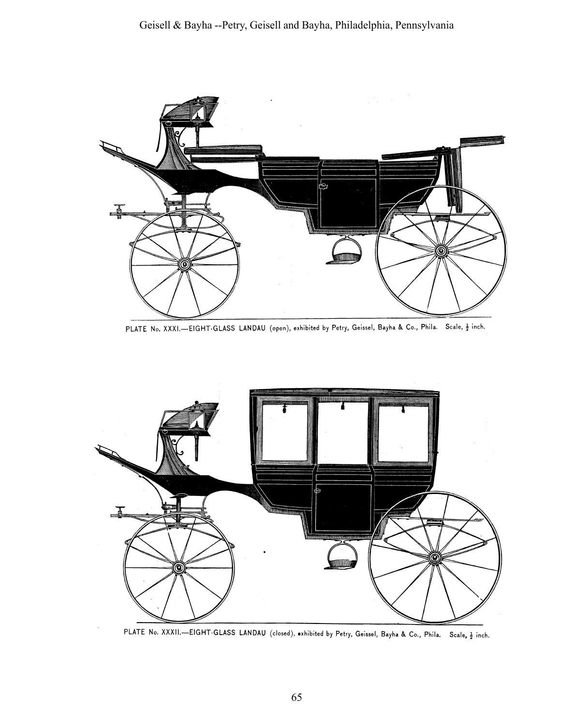

PLATE No. XXXI.-EIGHT-GLASS LANDAU (open), exhibited by Petry, Geissel, Bayha & Co., Phila. Scale, } inch.



PLATE No. XXXII.-EIGHT-GLASS LANDAU (closed), exhibited by Petry, Geissel, Bayha & Co., Phila. Scale, } inch.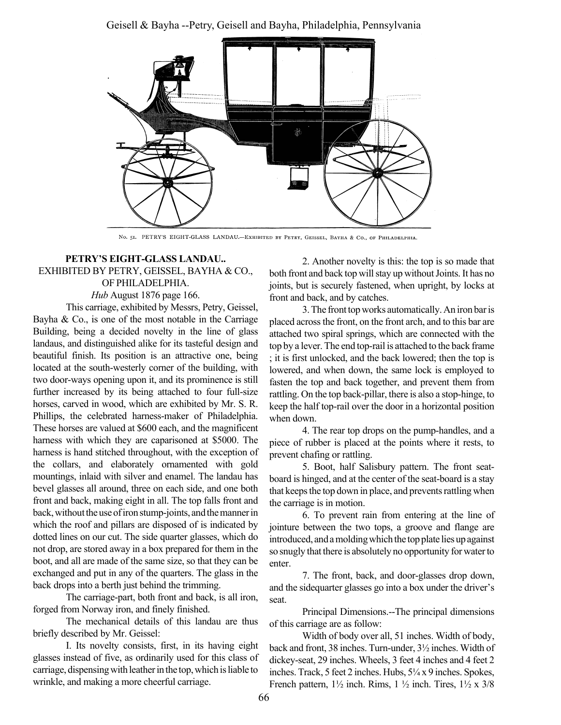Geisell & Bayha --Petry, Geisell and Bayha, Philadelphia, Pennsylvania



No. 51. PETRY'S EIGHT-GLASS LANDAU.-EXHIBITED BY PETRY, GEISSEL, BAYHA & Co., OF PHILADELPHIA.

#### PETRY'S EIGHT-GLASS LANDAU.. EXHIBITED BY PETRY, GEISSEL, BAYHA & CO., OF PHILADELPHIA. Hub August 1876 page 166.

This carriage, exhibited by Messrs, Petry, Geissel, Bayha  $\&$  Co., is one of the most notable in the Carriage Building, being a decided novelty in the line of glass landaus, and distinguished alike for its tasteful design and beautiful finish. Its position is an attractive one, being located at the south-westerly corner of the building, with two door-ways opening upon it, and its prominence is still further increased by its being attached to four full-size horses, carved in wood, which are exhibited by Mr. S. R. Phillips, the celebrated harness-maker of Philadelphia. These horses are valued at \$600 each, and the magnificent harness with which they are caparisoned at \$5000. The harness is hand stitched throughout, with the exception of the collars, and elaborately ornamented with gold mountings, inlaid with silver and enamel. The landau has bevel glasses all around, three on each side, and one both front and back, making eight in all. The top falls front and back, without the use of iron stump-joints, and the manner in which the roof and pillars are disposed of is indicated by dotted lines on our cut. The side quarter glasses, which do not drop, are stored away in a box prepared for them in the boot, and all are made of the same size, so that they can be exchanged and put in any of the quarters. The glass in the back drops into a berth just behind the trimming.

The carriage-part, both front and back, is all iron, forged from Norway iron, and finely finished.

The mechanical details of this landau are thus briefly described by Mr. Geissel:

I. Its novelty consists, first, in its having eight glasses instead of five, as ordinarily used for this class of carriage, dispensing with leather in the top, which is liable to wrinkle, and making a more cheerful carriage.

2. Another novelty is this: the top is so made that both front and back top will stay up without Joints. It has no joints, but is securely fastened, when upright, by locks at front and back, and by catches.

3. The front top works automatically. An iron bar is placed across the front, on the front arch, and to this bar are attached two spiral springs, which are connected with the top by a lever. The end top-rail is attached to the back frame ; it is first unlocked, and the back lowered; then the top is lowered, and when down, the same lock is employed to fasten the top and back together, and prevent them from rattling. On the top back-pillar, there is also a stop-hinge, to keep the half top-rail over the door in a horizontal position when down.

4. The rear top drops on the pump-handles, and a piece of rubber is placed at the points where it rests, to prevent chafing or rattling.

5. Boot, half Salisbury pattern. The front seatboard is hinged, and at the center of the seat-board is a stay that keeps the top down in place, and prevents rattling when the carriage is in motion.

6. To prevent rain from entering at the line of jointure between the two tops, a groove and flange are introduced, and a molding which the top plate lies up against so snugly that there is absolutely no opportunity for water to enter.

7. The front, back, and door-glasses drop down, and the sidequarter glasses go into a box under the driver's seat.

Principal Dimensions.--The principal dimensions of this carriage are as follow:

Width of body over all, 51 inches. Width of body, back and front, 38 inches. Turn-under, 3½ inches. Width of dickey-seat, 29 inches. Wheels, 3 feet 4 inches and 4 feet 2 inches. Track, 5 feet 2 inches. Hubs,  $5\frac{1}{4}$  x 9 inches. Spokes, French pattern,  $1\frac{1}{2}$  inch. Rims,  $1\frac{1}{2}$  inch. Tires,  $1\frac{1}{2}$  x 3/8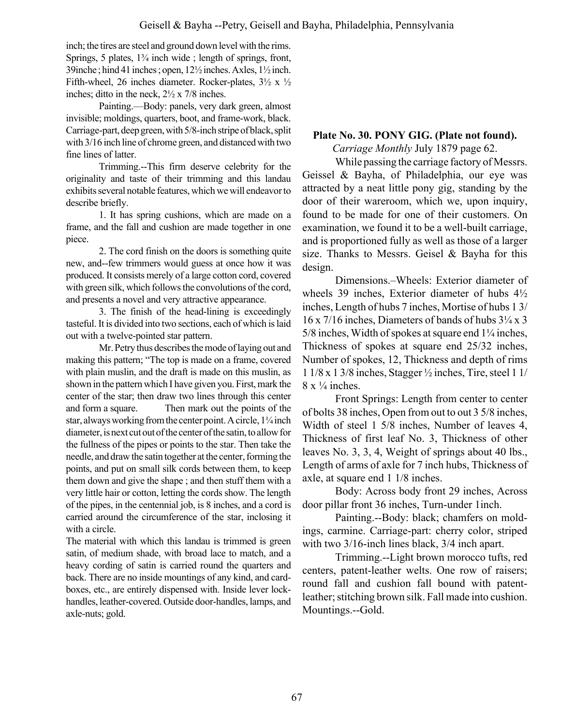inch; the tires are steel and ground down level with the rims. Springs, 5 plates,  $1\frac{3}{4}$  inch wide; length of springs, front, 39inche ; hind 41 inches ; open, 12½ inches. Axles, 1½ inch. Fifth-wheel, 26 inches diameter. Rocker-plates,  $3\frac{1}{2} \times \frac{1}{2}$ inches; ditto in the neck, 2½ x 7/8 inches.

Painting.—Body: panels, very dark green, almost invisible; moldings, quarters, boot, and frame-work, black. Carriage-part, deep green, with 5/8-inch stripe of black, split with 3/16 inch line of chrome green, and distanced with two fine lines of latter.

Trimming.--This firm deserve celebrity for the originality and taste of their trimming and this landau exhibits several notable features, which we will endeavor to describe briefly.

1. It has spring cushions, which are made on a frame, and the fall and cushion are made together in one piece.

2. The cord finish on the doors is something quite new, and--few trimmers would guess at once how it was produced. It consists merely of a large cotton cord, covered with green silk, which follows the convolutions of the cord, and presents a novel and very attractive appearance.

3. The finish of the head-lining is exceedingly tasteful. It is divided into two sections, each of which is laid out with a twelve-pointed star pattern.

Mr. Petry thus describes the mode of laying out and making this pattern; "The top is made on a frame, covered with plain muslin, and the draft is made on this muslin, as shown in the pattern which I have given you. First, mark the center of the star; then draw two lines through this center and form a square. Then mark out the points of the star, always working from the center point. A circle,  $1\frac{1}{4}$  inch diameter, is next cut out of the center of the satin, to allow for the fullness of the pipes or points to the star. Then take the needle, and draw the satin together at the center, forming the points, and put on small silk cords between them, to keep them down and give the shape ; and then stuff them with a very little hair or cotton, letting the cords show. The length of the pipes, in the centennial job, is 8 inches, and a cord is carried around the circumference of the star, inclosing it with a circle.

The material with which this landau is trimmed is green satin, of medium shade, with broad lace to match, and a heavy cording of satin is carried round the quarters and back. There are no inside mountings of any kind, and cardboxes, etc., are entirely dispensed with. Inside lever lockhandles, leather-covered. Outside door-handles, lamps, and axle-nuts; gold.

## Plate No. 30. PONY GIG. (Plate not found).

Carriage Monthly July 1879 page 62.

While passing the carriage factory of Messrs. Geissel & Bayha, of Philadelphia, our eye was attracted by a neat little pony gig, standing by the door of their wareroom, which we, upon inquiry, found to be made for one of their customers. On examination, we found it to be a well-built carriage, and is proportioned fully as well as those of a larger size. Thanks to Messrs. Geisel & Bayha for this design.

Dimensions.–Wheels: Exterior diameter of wheels 39 inches, Exterior diameter of hubs 4½ inches, Length of hubs 7 inches, Mortise of hubs 1 3/  $16 \times 7/16$  inches, Diameters of bands of hubs  $3\frac{1}{4} \times 3$ 5/8 inches, Width of spokes at square end  $1\frac{1}{4}$  inches, Thickness of spokes at square end 25/32 inches, Number of spokes, 12, Thickness and depth of rims 1 1/8 x 1 3/8 inches, Stagger ½ inches, Tire, steel 1 1/  $8 \times \frac{1}{4}$  inches.

Front Springs: Length from center to center of bolts 38 inches, Open from out to out 3 5/8 inches, Width of steel 1 5/8 inches, Number of leaves 4, Thickness of first leaf No. 3, Thickness of other leaves No. 3, 3, 4, Weight of springs about 40 lbs., Length of arms of axle for 7 inch hubs, Thickness of axle, at square end 1 1/8 inches.

Body: Across body front 29 inches, Across door pillar front 36 inches, Turn-under 1inch.

Painting.--Body: black; chamfers on moldings, carmine. Carriage-part: cherry color, striped with two 3/16-inch lines black, 3/4 inch apart.

Trimming.--Light brown morocco tufts, red centers, patent-leather welts. One row of raisers; round fall and cushion fall bound with patentleather; stitching brown silk. Fall made into cushion. Mountings.--Gold.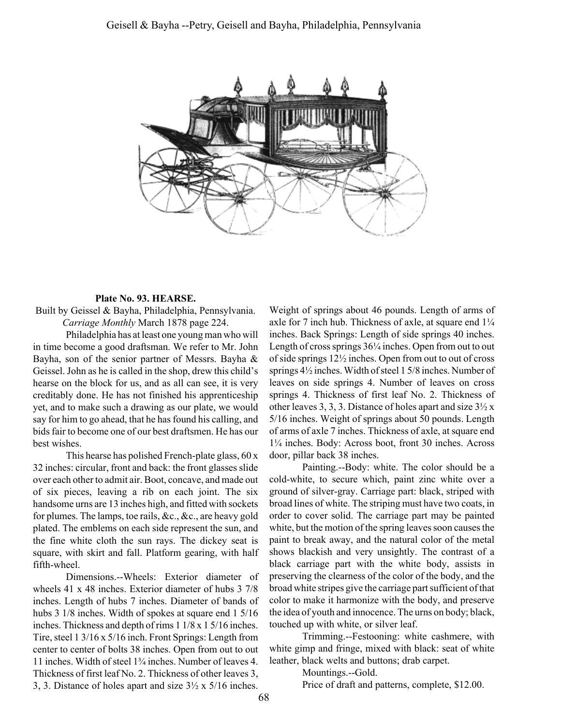

#### Plate No. 93. HEARSE.

Built by Geissel & Bayha, Philadelphia, Pennsylvania. Carriage Monthly March 1878 page 224.

Philadelphia has at least one young man who will in time become a good draftsman. We refer to Mr. John Bayha, son of the senior partner of Messrs. Bayha & Geissel. John as he is called in the shop, drew this child's hearse on the block for us, and as all can see, it is very creditably done. He has not finished his apprenticeship yet, and to make such a drawing as our plate, we would say for him to go ahead, that he has found his calling, and bids fair to become one of our best draftsmen. He has our best wishes.

This hearse has polished French-plate glass, 60 x 32 inches: circular, front and back: the front glasses slide over each other to admit air. Boot, concave, and made out of six pieces, leaving a rib on each joint. The six handsome urns are 13 inches high, and fitted with sockets for plumes. The lamps, toe rails, &c., &c., are heavy gold plated. The emblems on each side represent the sun, and the fine white cloth the sun rays. The dickey seat is square, with skirt and fall. Platform gearing, with half fifth-wheel.

Dimensions.--Wheels: Exterior diameter of wheels 41 x 48 inches. Exterior diameter of hubs 3 7/8 inches. Length of hubs 7 inches. Diameter of bands of hubs 3 1/8 inches. Width of spokes at square end 1 5/16 inches. Thickness and depth of rims 1 1/8 x 1 5/16 inches. Tire, steel 1 3/16 x 5/16 inch. Front Springs: Length from center to center of bolts 38 inches. Open from out to out 11 inches. Width of steel  $1\frac{3}{4}$  inches. Number of leaves 4. Thickness of first leaf No. 2. Thickness of other leaves 3, 3, 3. Distance of holes apart and size 3½ x 5/16 inches.

Weight of springs about 46 pounds. Length of arms of axle for 7 inch hub. Thickness of axle, at square end  $1\frac{1}{4}$ inches. Back Springs: Length of side springs 40 inches. Length of cross springs  $36\frac{1}{4}$  inches. Open from out to out of side springs 12½ inches. Open from out to out of cross springs 4½ inches. Width of steel 1 5/8 inches. Number of leaves on side springs 4. Number of leaves on cross springs 4. Thickness of first leaf No. 2. Thickness of other leaves 3, 3, 3. Distance of holes apart and size  $3\frac{1}{2}x$ 5/16 inches. Weight of springs about 50 pounds. Length of arms of axle 7 inches. Thickness of axle, at square end 11/4 inches. Body: Across boot, front 30 inches. Across door, pillar back 38 inches.

Painting.--Body: white. The color should be a cold-white, to secure which, paint zinc white over a ground of silver-gray. Carriage part: black, striped with broad lines of white. The striping must have two coats, in order to cover solid. The carriage part may be painted white, but the motion of the spring leaves soon causes the paint to break away, and the natural color of the metal shows blackish and very unsightly. The contrast of a black carriage part with the white body, assists in preserving the clearness of the color of the body, and the broad white stripes give the carriage part sufficient of that color to make it harmonize with the body, and preserve the idea of youth and innocence. The urns on body; black, touched up with white, or silver leaf.

Trimming.--Festooning: white cashmere, with white gimp and fringe, mixed with black: seat of white leather, black welts and buttons; drab carpet.

Mountings.--Gold.

Price of draft and patterns, complete, \$12.00.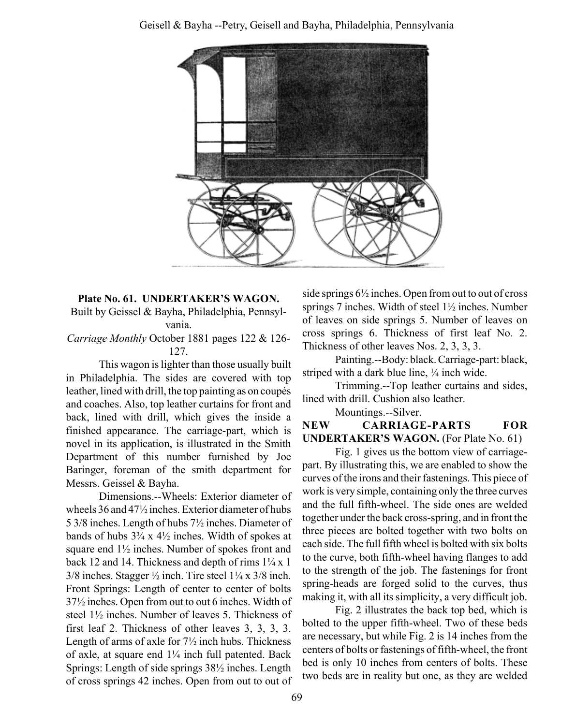

# Plate No. 61. UNDERTAKER'S WAGON. Built by Geissel & Bayha, Philadelphia, Pennsyl-

vania.

Carriage Monthly October 1881 pages 122 & 126- 127.

This wagon is lighter than those usually built in Philadelphia. The sides are covered with top leather, lined with drill, the top painting as on coupés and coaches. Also, top leather curtains for front and back, lined with drill, which gives the inside a finished appearance. The carriage-part, which is novel in its application, is illustrated in the Smith Department of this number furnished by Joe Baringer, foreman of the smith department for Messrs. Geissel & Bayha.

Dimensions.--Wheels: Exterior diameter of wheels 36 and 47½ inches. Exterior diameter of hubs 5 3/8 inches. Length of hubs 7½ inches. Diameter of bands of hubs  $3\frac{3}{4}$  x  $4\frac{1}{2}$  inches. Width of spokes at square end 1½ inches. Number of spokes front and back 12 and 14. Thickness and depth of rims  $1\frac{1}{4}x$  1  $3/8$  inches. Stagger  $\frac{1}{2}$  inch. Tire steel  $1\frac{1}{4}$  x  $3/8$  inch. Front Springs: Length of center to center of bolts 37½ inches. Open from out to out 6 inches. Width of steel 1½ inches. Number of leaves 5. Thickness of first leaf 2. Thickness of other leaves 3, 3, 3, 3. Length of arms of axle for 7½ inch hubs. Thickness of axle, at square end  $1\frac{1}{4}$  inch full patented. Back Springs: Length of side springs 38½ inches. Length of cross springs 42 inches. Open from out to out of

side springs 6½ inches. Open from out to out of cross springs 7 inches. Width of steel 1½ inches. Number of leaves on side springs 5. Number of leaves on cross springs 6. Thickness of first leaf No. 2. Thickness of other leaves Nos. 2, 3, 3, 3.

Painting.--Body: black. Carriage-part: black, striped with a dark blue line,  $\frac{1}{4}$  inch wide.

Trimming.--Top leather curtains and sides, lined with drill. Cushion also leather.

Mountings.--Silver.

# NEW CARRIAGE-PARTS FOR UNDERTAKER'S WAGON. (For Plate No. 61)

Fig. 1 gives us the bottom view of carriagepart. By illustrating this, we are enabled to show the curves of the irons and their fastenings. This piece of work is very simple, containing only the three curves and the full fifth-wheel. The side ones are welded together under the back cross-spring, and in front the three pieces are bolted together with two bolts on each side. The full fifth wheel is bolted with six bolts to the curve, both fifth-wheel having flanges to add to the strength of the job. The fastenings for front spring-heads are forged solid to the curves, thus making it, with all its simplicity, a very difficult job.

Fig. 2 illustrates the back top bed, which is bolted to the upper fifth-wheel. Two of these beds are necessary, but while Fig. 2 is 14 inches from the centers of bolts or fastenings of fifth-wheel, the front bed is only 10 inches from centers of bolts. These two beds are in reality but one, as they are welded